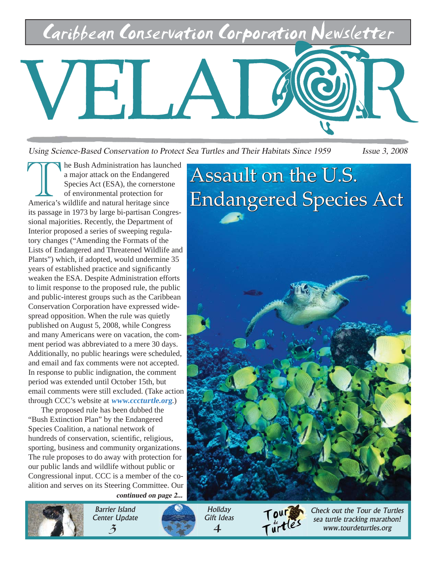Caribbean Conservation Corporation Newsletter



Using Science-Based Conservation to Protect Sea Turtles and Their Habitats Since 1959 *Issue 3, 2008* 

he Bush Administration has launched a major attack on the Endangered Species Act (ESA), the cornerstone of environmental protection for America's wildlife and natural heritage since its passage in 1973 by large bi-partisan Congressional majorities. Recently, the Department of Interior proposed a series of sweeping regulatory changes ("Amending the Formats of the Lists of Endangered and Threatened Wildlife and Plants") which, if adopted, would undermine 35 years of established practice and significantly weaken the ESA. Despite Administration efforts to limit response to the proposed rule, the public and public-interest groups such as the Caribbean Conservation Corporation have expressed widespread opposition. When the rule was quietly published on August 5, 2008, while Congress and many Americans were on vacation, the comment period was abbreviated to a mere 30 days. Additionally, no public hearings were scheduled, and email and fax comments were not accepted. In response to public indignation, the comment period was extended until October 15th, but email comments were still excluded. (Take action through CCC's website at **www.cccturtle.org**.)

**continued on page 2...** The proposed rule has been dubbed the "Bush Extinction Plan" by the Endangered Species Coalition, a national network of hundreds of conservation, scientific, religious, sporting, business and community organizations. The rule proposes to do away with protection for our public lands and wildlife without public or Congressional input. CCC is a member of the coalition and serves on its Steering Committee. Our





**Holiday** Gift Ideas 4



Check out the Tour de Turtles sea turtle tracking marathon! www.tourdeturtles.org

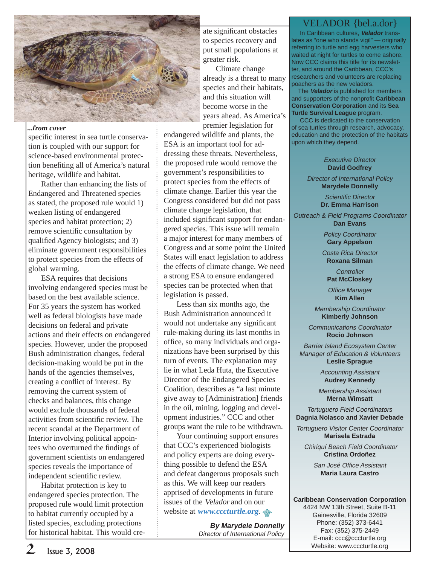

### **...from cover**

specific interest in sea turtle conservation is coupled with our support for science-based environmental protection benefiting all of America's natural heritage, wildlife and habitat.

Rather than enhancing the lists of Endangered and Threatened species as stated, the proposed rule would 1) weaken listing of endangered species and habitat protection; 2) remove scientific consultation by qualified Agency biologists; and 3) eliminate government responsibilities to protect species from the effects of global warming.

ESA requires that decisions involving endangered species must be based on the best available science. For 35 years the system has worked well as federal biologists have made decisions on federal and private actions and their effects on endangered species. However, under the proposed Bush administration changes, federal decision-making would be put in the hands of the agencies themselves, creating a conflict of interest. By removing the current system of checks and balances, this change would exclude thousands of federal activities from scientific review. The recent scandal at the Department of Interior involving political appointees who overturned the findings of government scientists on endangered species reveals the importance of independent scientific review.

Habitat protection is key to endangered species protection. The proposed rule would limit protection to habitat currently occupied by a listed species, excluding protections for historical habitat. This would cre-

ate significant obstacles to species recovery and put small populations at greater risk.

Climate change already is a threat to many species and their habitats, and this situation will become worse in the years ahead. As America's premier legislation for

endangered wildlife and plants, the ESA is an important tool for addressing these threats. Nevertheless, the proposed rule would remove the government's responsibilities to protect species from the effects of climate change. Earlier this year the Congress considered but did not pass climate change legislation, that included significant support for endangered species. This issue will remain a major interest for many members of Congress and at some point the United States will enact legislation to address the effects of climate change. We need a strong ESA to ensure endangered species can be protected when that legislation is passed.

Less than six months ago, the Bush Administration announced it would not undertake any significant rule-making during its last months in office, so many individuals and organizations have been surprised by this turn of events. The explanation may lie in what Leda Huta, the Executive Director of the Endangered Species Coalition, describes as "a last minute give away to [Administration] friends in the oil, mining, logging and development industries." CCC and other groups want the rule to be withdrawn.

Your continuing support ensures that CCC's experienced biologists and policy experts are doing everything possible to defend the ESA and defeat dangerous proposals such as this. We will keep our readers apprised of developments in future issues of the Velador and on our website at **www.cccturtle.org**.

> **By Marydele Donnelly** Director of International Policy

### VELADOR {bel.a.dor}

 In Caribbean cultures, **Velador** translates as "one who stands vigil" — originally referring to turtle and egg harvesters who waited at night for turtles to come ashore. Now CCC claims this title for its newsletter, and around the Caribbean, CCC's researchers and volunteers are replacing poachers as the new veladors.

 The **Velador** is published for members and supporters of the nonprofit **Caribbean Conservation Corporation** and its **Sea Turtle Survival League** program.

 CCC is dedicated to the conservation of sea turtles through research, advocacy, education and the protection of the habitats upon which they depend.

#### Executive Director **David Godfrey**

Director of International Policy **Marydele Donnelly**

> Scientific Director **Dr. Emma Harrison**

Outreach & Field Programs Coordinator **Dan Evans**

> Policy Coordinator **Gary Appelson**

Costa Rica Director **Roxana Silman**

**Controller Pat McCloskey**

**Office Manager Kim Allen**

Membership Coordinator **Kimberly Johnson**

Communications Coordinator **Rocio Johnson**

Barrier Island Ecosystem Center Manager of Education & Volunteers **Leslie Sprague**

> Accounting Assistant **Audrey Kennedy**

Membership Assistant **Merna Wimsatt**

Tortuguero Field Coordinators **Dagnia Nolasco and Xavier Debade**

Tortuguero Visitor Center Coordinator **Marisela Estrada**

Chiriquí Beach Field Coordinator **Cristina Ordoñez**

San José Office Assistant **Maria Laura Castro**

**Caribbean Conservation Corporation** 4424 NW 13th Street, Suite B-11 Gainesville, Florida 32609 Phone: (352) 373-6441 Fax: (352) 375-2449 E-mail: ccc@cccturtle.org Website: www.cccturtle.org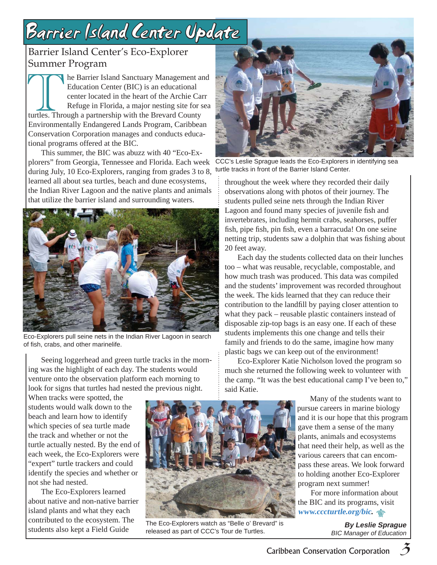## Barrier Island Center Update

## Barrier Island Center's Eco-Explorer Summer Program

he Barrier Island Sanctuary Management and Education Center (BIC) is an educational center located in the heart of the Archie Carr Refuge in Florida, a major nesting site for sea turtles. Through a partnership with the Brevard County Environmentally Endangered Lands Program, Caribbean Conservation Corporation manages and conducts educational programs offered at the BIC.

This summer, the BIC was abuzz with 40 "Eco-Explorers" from Georgia, Tennessee and Florida. Each week during July, 10 Eco-Explorers, ranging from grades 3 to 8, learned all about sea turtles, beach and dune ecosystems, the Indian River Lagoon and the native plants and animals that utilize the barrier island and surrounding waters.



Eco-Explorers pull seine nets in the Indian River Lagoon in search of fish, crabs, and other marinelife.

Seeing loggerhead and green turtle tracks in the morning was the highlight of each day. The students would venture onto the observation platform each morning to look for signs that turtles had nested the previous night.

When tracks were spotted, the students would walk down to the beach and learn how to identify which species of sea turtle made the track and whether or not the turtle actually nested. By the end of each week, the Eco-Explorers were "expert" turtle trackers and could identify the species and whether or not she had nested.

The Eco-Explorers learned about native and non-native barrier island plants and what they each contributed to the ecosystem. The students also kept a Field Guide



The Eco-Explorers watch as "Belle o' Brevard" is released as part of CCC's Tour de Turtles.



CCC's Leslie Sprague leads the Eco-Explorers in identifying sea turtle tracks in front of the Barrier Island Center.

throughout the week where they recorded their daily observations along with photos of their journey. The students pulled seine nets through the Indian River Lagoon and found many species of juvenile fish and invertebrates, including hermit crabs, seahorses, puffer fish, pipe fish, pin fish, even a barracuda! On one seine netting trip, students saw a dolphin that was fishing about 20 feet away.

Each day the students collected data on their lunches too – what was reusable, recyclable, compostable, and how much trash was produced. This data was compiled and the students' improvement was recorded throughout the week. The kids learned that they can reduce their contribution to the landfill by paying closer attention to what they pack – reusable plastic containers instead of disposable zip-top bags is an easy one. If each of these students implements this one change and tells their family and friends to do the same, imagine how many plastic bags we can keep out of the environment!

Eco-Explorer Katie Nicholson loved the program so much she returned the following week to volunteer with the camp. "It was the best educational camp I've been to," said Katie.

> Many of the students want to pursue careers in marine biology and it is our hope that this program gave them a sense of the many plants, animals and ecosystems that need their help, as well as the various careers that can encompass these areas. We look forward to holding another Eco-Explorer program next summer!

For more information about the BIC and its programs, visit **www.cccturtle.org/bic.**

> **By Leslie Sprague** BIC Manager of Education